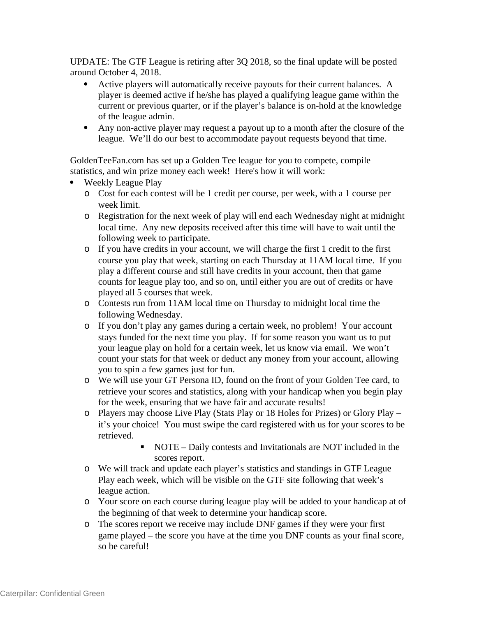UPDATE: The GTF League is retiring after 3Q 2018, so the final update will be posted around October 4, 2018.

- Active players will automatically receive payouts for their current balances. A player is deemed active if he/she has played a qualifying league game within the current or previous quarter, or if the player's balance is on-hold at the knowledge of the league admin.
- Any non-active player may request a payout up to a month after the closure of the league. We'll do our best to accommodate payout requests beyond that time.

GoldenTeeFan.com has set up a Golden Tee league for you to compete, compile statistics, and win prize money each week! Here's how it will work:

- Weekly League Play
	- o Cost for each contest will be 1 credit per course, per week, with a 1 course per week limit.
	- o Registration for the next week of play will end each Wednesday night at midnight local time. Any new deposits received after this time will have to wait until the following week to participate.
	- o If you have credits in your account, we will charge the first 1 credit to the first course you play that week, starting on each Thursday at 11AM local time. If you play a different course and still have credits in your account, then that game counts for league play too, and so on, until either you are out of credits or have played all 5 courses that week.
	- o Contests run from 11AM local time on Thursday to midnight local time the following Wednesday.
	- o If you don't play any games during a certain week, no problem! Your account stays funded for the next time you play. If for some reason you want us to put your league play on hold for a certain week, let us know via email. We won't count your stats for that week or deduct any money from your account, allowing you to spin a few games just for fun.
	- o We will use your GT Persona ID, found on the front of your Golden Tee card, to retrieve your scores and statistics, along with your handicap when you begin play for the week, ensuring that we have fair and accurate results!
	- o Players may choose Live Play (Stats Play or 18 Holes for Prizes) or Glory Play it's your choice! You must swipe the card registered with us for your scores to be retrieved.
		- NOTE Daily contests and Invitationals are NOT included in the scores report.
	- o We will track and update each player's statistics and standings in GTF League Play each week, which will be visible on the GTF site following that week's league action.
	- o Your score on each course during league play will be added to your handicap at of the beginning of that week to determine your handicap score.
	- o The scores report we receive may include DNF games if they were your first game played – the score you have at the time you DNF counts as your final score, so be careful!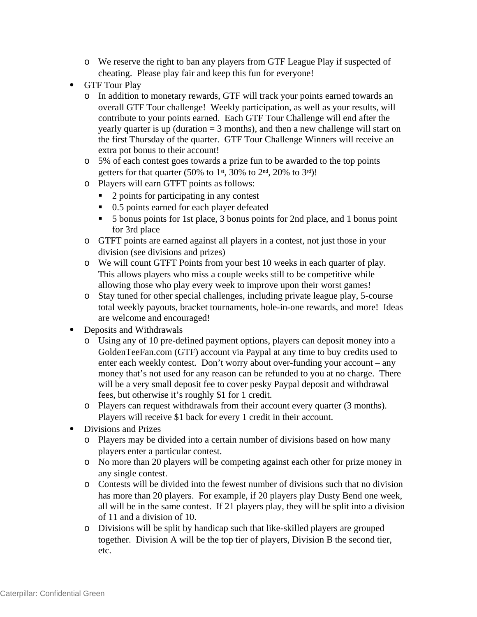- o We reserve the right to ban any players from GTF League Play if suspected of cheating. Please play fair and keep this fun for everyone!
- GTF Tour Play
	- o In addition to monetary rewards, GTF will track your points earned towards an overall GTF Tour challenge! Weekly participation, as well as your results, will contribute to your points earned. Each GTF Tour Challenge will end after the yearly quarter is up (duration  $=$  3 months), and then a new challenge will start on the first Thursday of the quarter. GTF Tour Challenge Winners will receive an extra pot bonus to their account!
	- o 5% of each contest goes towards a prize fun to be awarded to the top points getters for that quarter (50% to 1<sup>st</sup>, 30% to 2<sup>nd</sup>, 20% to 3<sup>rd</sup>)!
	- o Players will earn GTFT points as follows:
		- 2 points for participating in any contest
		- 0.5 points earned for each player defeated
		- 5 bonus points for 1st place, 3 bonus points for 2nd place, and 1 bonus point for 3rd place
	- o GTFT points are earned against all players in a contest, not just those in your division (see divisions and prizes)
	- o We will count GTFT Points from your best 10 weeks in each quarter of play. This allows players who miss a couple weeks still to be competitive while allowing those who play every week to improve upon their worst games!
	- o Stay tuned for other special challenges, including private league play, 5-course total weekly payouts, bracket tournaments, hole-in-one rewards, and more! Ideas are welcome and encouraged!
- Deposits and Withdrawals
	- o Using any of 10 pre-defined payment options, players can deposit money into a GoldenTeeFan.com (GTF) account via Paypal at any time to buy credits used to enter each weekly contest. Don't worry about over-funding your account – any money that's not used for any reason can be refunded to you at no charge. There will be a very small deposit fee to cover pesky Paypal deposit and withdrawal fees, but otherwise it's roughly \$1 for 1 credit.
	- o Players can request withdrawals from their account every quarter (3 months). Players will receive \$1 back for every 1 credit in their account.
- Divisions and Prizes
	- o Players may be divided into a certain number of divisions based on how many players enter a particular contest.
	- o No more than 20 players will be competing against each other for prize money in any single contest.
	- o Contests will be divided into the fewest number of divisions such that no division has more than 20 players. For example, if 20 players play Dusty Bend one week, all will be in the same contest. If 21 players play, they will be split into a division of 11 and a division of 10.
	- o Divisions will be split by handicap such that like-skilled players are grouped together. Division A will be the top tier of players, Division B the second tier, etc.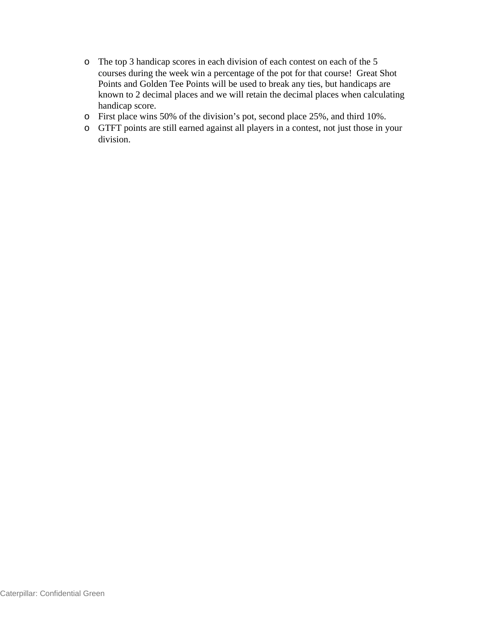- o The top 3 handicap scores in each division of each contest on each of the 5 courses during the week win a percentage of the pot for that course! Great Shot Points and Golden Tee Points will be used to break any ties, but handicaps are known to 2 decimal places and we will retain the decimal places when calculating handicap score.
- o First place wins 50% of the division's pot, second place 25%, and third 10%.
- o GTFT points are still earned against all players in a contest, not just those in your division.